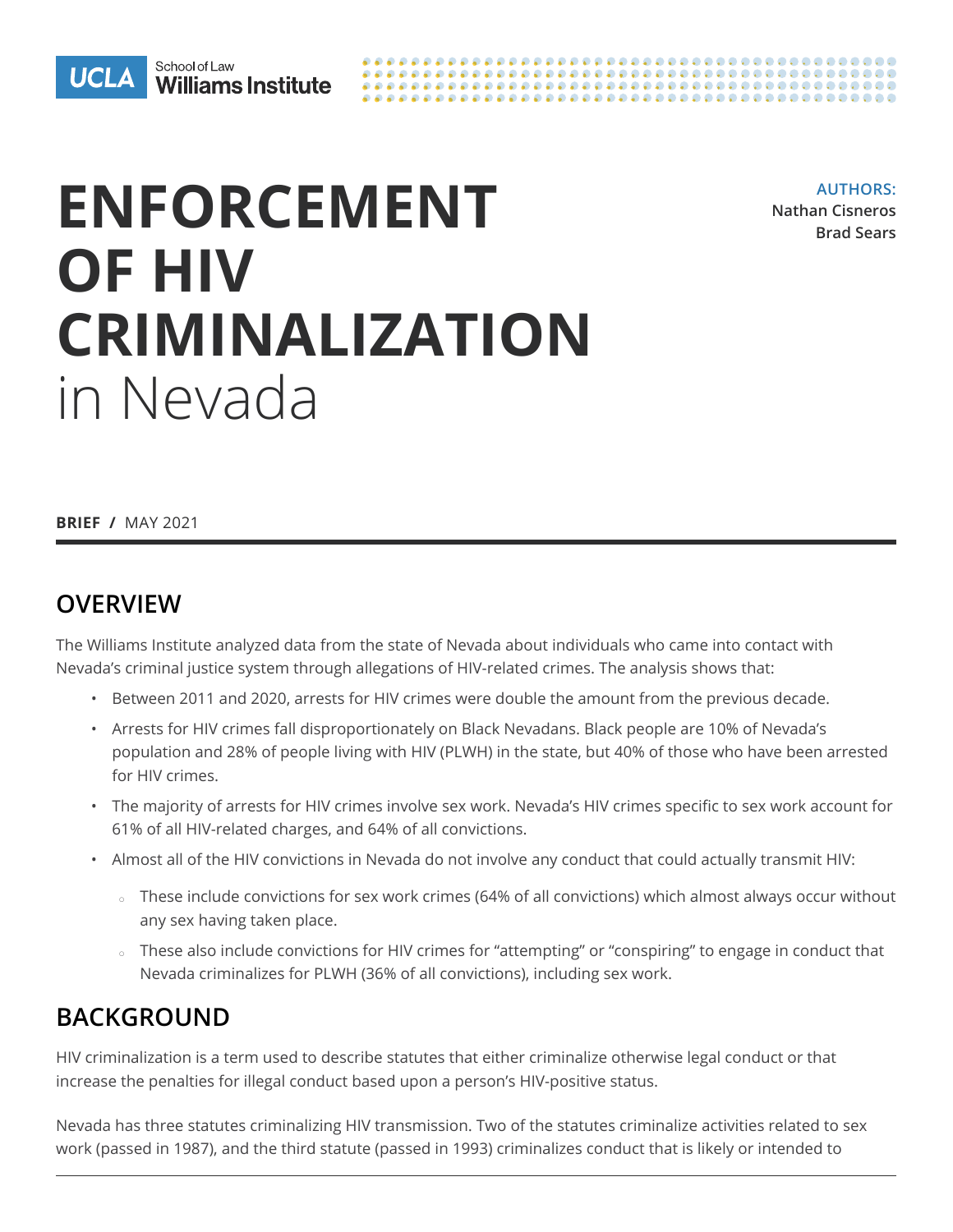



# **ENFORCEMENT OF HIV CRIMINALIZATION** in Nevada

**AUTHORS: Nathan Cisneros Brad Sears**

**BRIEF /** MAY 2021

### **OVERVIEW**

The Williams Institute analyzed data from the state of Nevada about individuals who came into contact with Nevada's criminal justice system through allegations of HIV-related crimes. The analysis shows that:

- Between 2011 and 2020, arrests for HIV crimes were double the amount from the previous decade.
- Arrests for HIV crimes fall disproportionately on Black Nevadans. Black people are 10% of Nevada's population and 28% of people living with HIV (PLWH) in the state, but 40% of those who have been arrested for HIV crimes.
- The majority of arrests for HIV crimes involve sex work. Nevada's HIV crimes specific to sex work account for 61% of all HIV-related charges, and 64% of all convictions.
- Almost all of the HIV convictions in Nevada do not involve any conduct that could actually transmit HIV:
	- $\circ$  These include convictions for sex work crimes (64% of all convictions) which almost always occur without any sex having taken place.
	- $\circ$  These also include convictions for HIV crimes for "attempting" or "conspiring" to engage in conduct that Nevada criminalizes for PLWH (36% of all convictions), including sex work.

## **BACKGROUND**

HIV criminalization is a term used to describe statutes that either criminalize otherwise legal conduct or that increase the penalties for illegal conduct based upon a person's HIV-positive status.

Nevada has three statutes criminalizing HIV transmission. Two of the statutes criminalize activities related to sex work (passed in 1987), and the third statute (passed in 1993) criminalizes conduct that is likely or intended to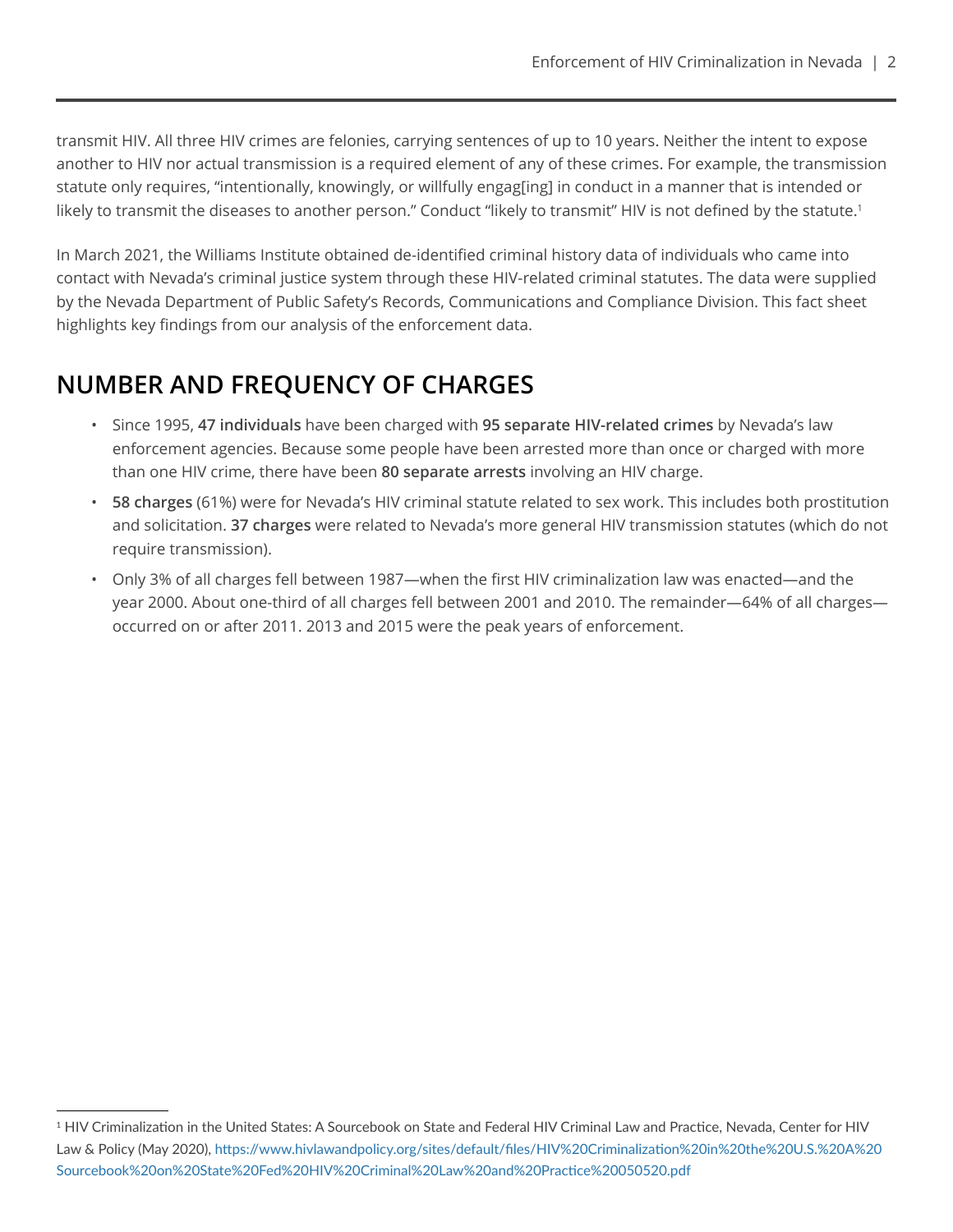transmit HIV. All three HIV crimes are felonies, carrying sentences of up to 10 years. Neither the intent to expose another to HIV nor actual transmission is a required element of any of these crimes. For example, the transmission statute only requires, "intentionally, knowingly, or willfully engag[ing] in conduct in a manner that is intended or likely to transmit the diseases to another person." Conduct "likely to transmit" HIV is not defined by the statute.<sup>1</sup>

In March 2021, the Williams Institute obtained de-identified criminal history data of individuals who came into contact with Nevada's criminal justice system through these HIV-related criminal statutes. The data were supplied by the Nevada Department of Public Safety's Records, Communications and Compliance Division. This fact sheet highlights key findings from our analysis of the enforcement data.

# **NUMBER AND FREQUENCY OF CHARGES**

- Since 1995, **47 individuals** have been charged with **95 separate HIV-related crimes** by Nevada's law enforcement agencies. Because some people have been arrested more than once or charged with more than one HIV crime, there have been **80 separate arrests** involving an HIV charge.
- **58 charges** (61%) were for Nevada's HIV criminal statute related to sex work. This includes both prostitution and solicitation. **37 charges** were related to Nevada's more general HIV transmission statutes (which do not require transmission).
- Only 3% of all charges fell between 1987—when the first HIV criminalization law was enacted—and the year 2000. About one-third of all charges fell between 2001 and 2010. The remainder—64% of all charges occurred on or after 2011. 2013 and 2015 were the peak years of enforcement.

<sup>1</sup> HIV Criminalization in the United States: A Sourcebook on State and Federal HIV Criminal Law and Practice, Nevada, Center for HIV Law & Policy (May 2020), [https://www.hivlawandpolicy.org/sites/default/files/HIV%20Criminalization%20in%20the%20U.S.%20A%20](https://www.hivlawandpolicy.org/sites/default/files/HIV%20Criminalization%20in%20the%20U.S.%20A%20So) [Sourcebook%20on%20State%20Fed%20HIV%20Criminal%20Law%20and%20Practice%20050520.pdf](https://www.hivlawandpolicy.org/sites/default/files/HIV%20Criminalization%20in%20the%20U.S.%20A%20So)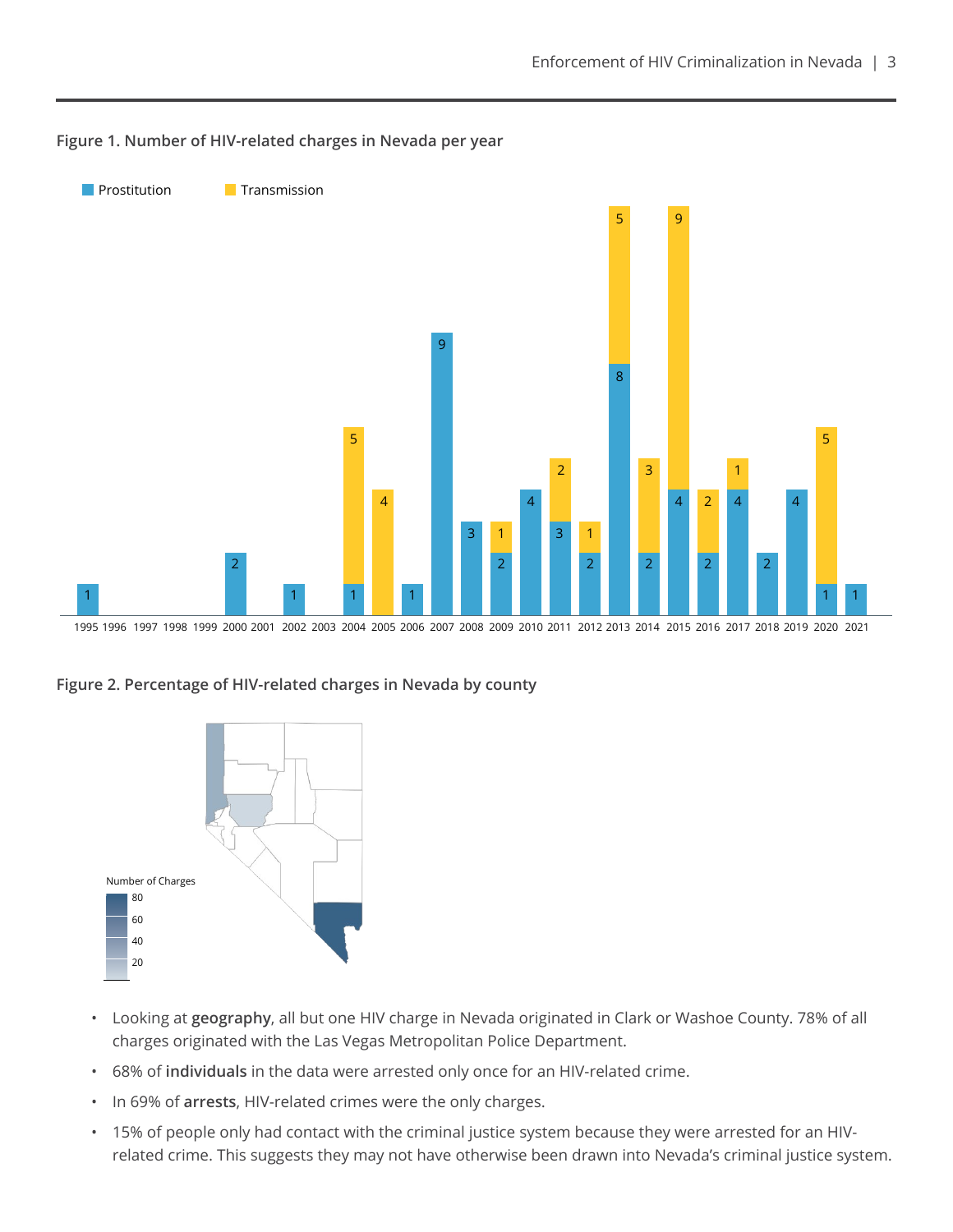

#### **Figure 1. Number of HIV-related charges in Nevada per year**

**Figure 2. Percentage of HIV-related charges in Nevada by county**



- Looking at **geography**, all but one HIV charge in Nevada originated in Clark or Washoe County. 78% of all charges originated with the Las Vegas Metropolitan Police Department.
- 68% of **individuals** in the data were arrested only once for an HIV-related crime.
- In 69% of **arrests**, HIV-related crimes were the only charges.
- 15% of people only had contact with the criminal justice system because they were arrested for an HIVrelated crime. This suggests they may not have otherwise been drawn into Nevada's criminal justice system.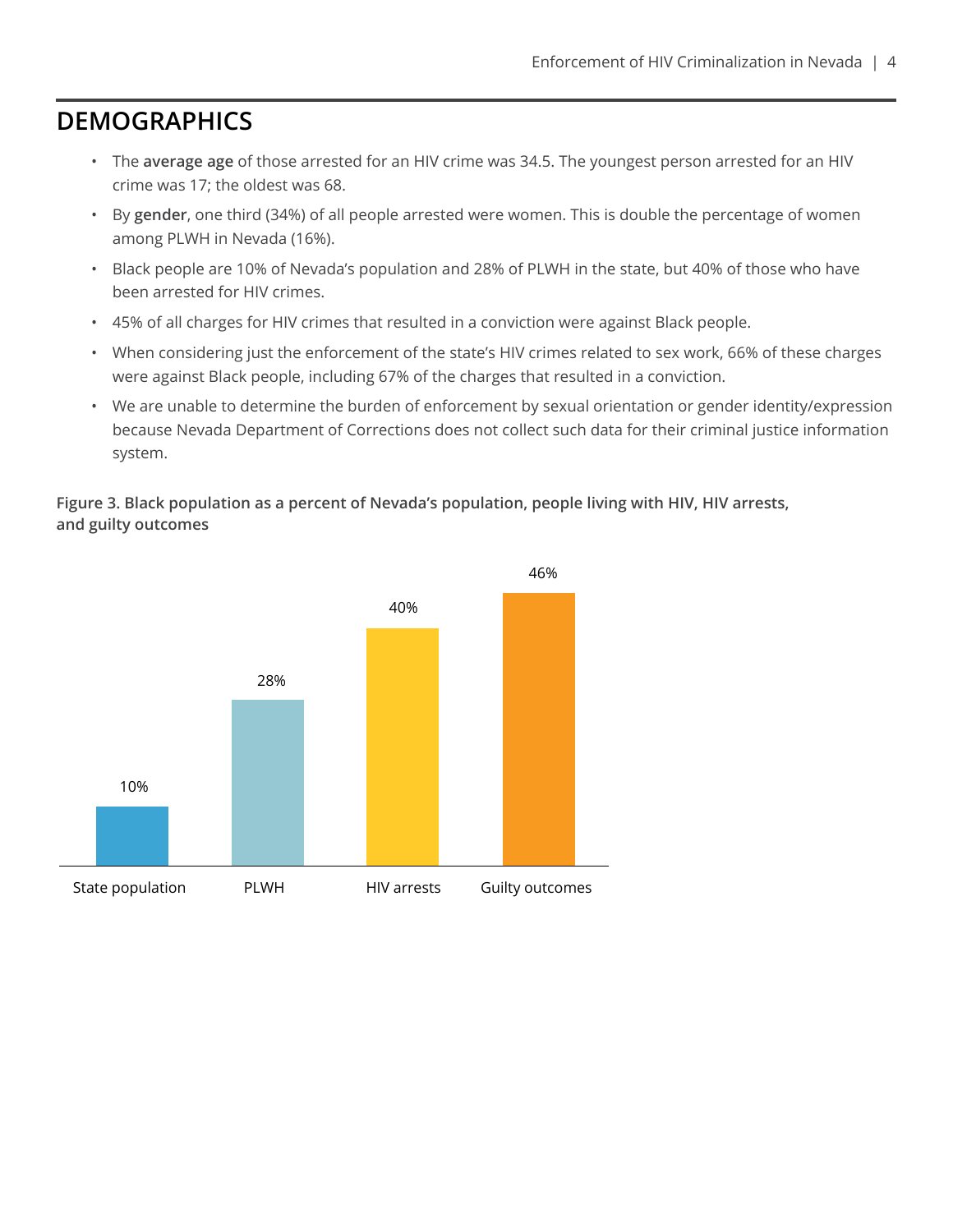## **DEMOGRAPHICS**

- The **average age** of those arrested for an HIV crime was 34.5. The youngest person arrested for an HIV crime was 17; the oldest was 68.
- By **gender**, one third (34%) of all people arrested were women. This is double the percentage of women among PLWH in Nevada (16%).
- Black people are 10% of Nevada's population and 28% of PLWH in the state, but 40% of those who have been arrested for HIV crimes.
- 45% of all charges for HIV crimes that resulted in a conviction were against Black people.
- When considering just the enforcement of the state's HIV crimes related to sex work, 66% of these charges were against Black people, including 67% of the charges that resulted in a conviction.
- We are unable to determine the burden of enforcement by sexual orientation or gender identity/expression because Nevada Department of Corrections does not collect such data for their criminal justice information system.

**Figure 3. Black population as a percent of Nevada's population, people living with HIV, HIV arrests, and guilty outcomes**